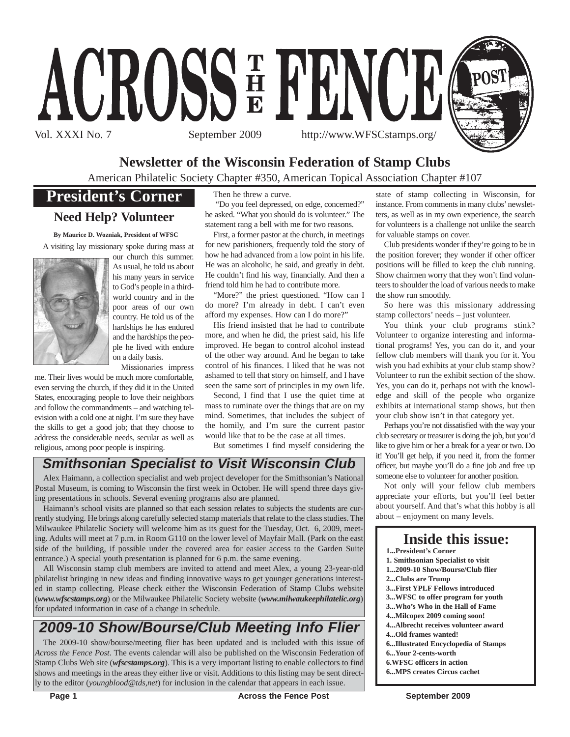

# **Newsletter of the Wisconsin Federation of Stamp Clubs**

American Philatelic Society Chapter #350, American Topical Association Chapter #107

## **President's Corner**

### **Need Help? Volunteer**

**By Maurice D. Wozniak, President of WFSC** A visiting lay missionary spoke during mass at



our church this summer. As usual, he told us about his many years in service to God's people in a thirdworld country and in the poor areas of our own country. He told us of the hardships he has endured and the hardships the people he lived with endure on a daily basis.

Missionaries impress

me. Their lives would be much more comfortable, even serving the church, if they did it in the United States, encouraging people to love their neighbors and follow the commandments – and watching television with a cold one at night. I'm sure they have the skills to get a good job; that they choose to address the considerable needs, secular as well as religious, among poor people is inspiring.

Then he threw a curve.

"Do you feel depressed, on edge, concerned?" he asked. "What you should do is volunteer." The statement rang a bell with me for two reasons.

First, a former pastor at the church, in meetings for new parishioners, frequently told the story of how he had advanced from a low point in his life. He was an alcoholic, he said, and greatly in debt. He couldn't find his way, financially. And then a friend told him he had to contribute more.

"More?" the priest questioned. "How can I do more? I'm already in debt. I can't even afford my expenses. How can I do more?"

His friend insisted that he had to contribute more, and when he did, the priest said, his life improved. He began to control alcohol instead of the other way around. And he began to take control of his finances. I liked that he was not ashamed to tell that story on himself, and I have seen the same sort of principles in my own life.

Second, I find that I use the quiet time at mass to ruminate over the things that are on my mind. Sometimes, that includes the subject of the homily, and I'm sure the current pastor would like that to be the case at all times.

But sometimes I find myself considering the

### *Smithsonian Specialist to Visit Wisconsin Club*

Alex Haimann, a collection specialist and web project developer for the Smithsonian's National Postal Museum, is coming to Wisconsin the first week in October. He will spend three days giving presentations in schools. Several evening programs also are planned.

Haimann's school visits are planned so that each session relates to subjects the students are currently studying. He brings along carefully selected stamp materials that relate to the class studies. The Milwaukee Philatelic Society will welcome him as its guest for the Tuesday, Oct. 6, 2009, meeting. Adults will meet at 7 p.m. in Room G110 on the lower level of Mayfair Mall. (Park on the east side of the building, if possible under the covered area for easier access to the Garden Suite entrance.) A special youth presentation is planned for 6 p.m. the same evening.

All Wisconsin stamp club members are invited to attend and meet Alex, a young 23-year-old philatelist bringing in new ideas and finding innovative ways to get younger generations interested in stamp collecting. Please check either the Wisconsin Federation of Stamp Clubs website (*www.wfscstamps.org*) or the Milwaukee Philatelic Society website (*www.milwaukeephilatelic.org*) for updated information in case of a change in schedule.

# *2009-10 Show/Bourse/Club Meeting Info Flier*

The 2009-10 show/bourse/meeting flier has been updated and is included with this issue of *Across the Fence Post*. The events calendar will also be published on the Wisconsin Federation of Stamp Clubs Web site (*wfscstamps.org*). This is a very important listing to enable collectors to find shows and meetings in the areas they either live or visit. Additions to this listing may be sent directly to the editor (*youngblood@tds,net*) for inclusion in the calendar that appears in each issue.

state of stamp collecting in Wisconsin, for instance. From comments in many clubs'newsletters, as well as in my own experience, the search for volunteers is a challenge not unlike the search for valuable stamps on cover.

Club presidents wonder if they're going to be in the position forever; they wonder if other officer positions will be filled to keep the club running. Show chairmen worry that they won't find volunteers to shoulder the load of various needs to make the show run smoothly.

So here was this missionary addressing stamp collectors' needs – just volunteer.

You think your club programs stink? Volunteer to organize interesting and informational programs! Yes, you can do it, and your fellow club members will thank you for it. You wish you had exhibits at your club stamp show? Volunteer to run the exhibit section of the show. Yes, you can do it, perhaps not with the knowledge and skill of the people who organize exhibits at international stamp shows, but then your club show isn't in that category yet.

Perhaps you're not dissatisfied with the way your club secretary or treasurer is doing the job, but you'd like to give him or her a break for a year or two. Do it! You'll get help, if you need it, from the former officer, but maybe you'll do a fine job and free up someone else to volunteer for another position.

Not only will your fellow club members appreciate your efforts, but you'll feel better about yourself. And that's what this hobby is all about – enjoyment on many levels.

| Inside this issue:<br><b>1President's Corner</b> |
|--------------------------------------------------|
|                                                  |
| 1. Smithsonian Specialist to visit               |
| 12009-10 Show/Bourse/Club flier                  |
| 2Clubs are Trump                                 |
| <b>3First YPLF Fellows introduced</b>            |
| 3WFSC to offer program for youth                 |
| 3Who's Who in the Hall of Fame                   |
| 4Milcopex 2009 coming soon!                      |
| 4Albrecht receives volunteer award               |
| 4Old frames wanted!                              |
| 6Illustrated Encyclopedia of Stamps              |
| 6Your 2-cents-worth                              |
| <b>6.WFSC</b> officers in action                 |
| <b>6MPS creates Circus cachet</b>                |
|                                                  |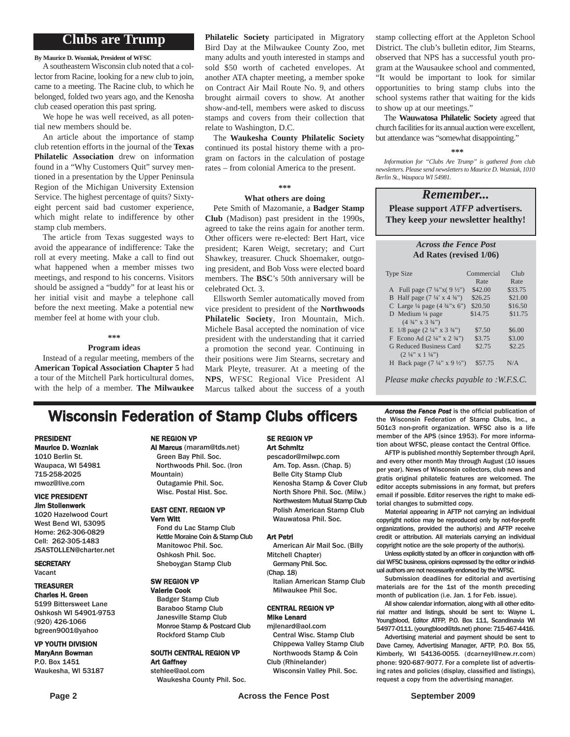### **Clubs are Trump**

#### **By Maurice D. Wozniak, President of WFSC**

A southeastern Wisconsin club noted that a collector from Racine, looking for a new club to join, came to a meeting. The Racine club, to which he belonged, folded two years ago, and the Kenosha club ceased operation this past spring.

We hope he was well received, as all potential new members should be.

An article about the importance of stamp club retention efforts in the journal of the **Texas Philatelic Association** drew on information found in a "Why Customers Quit" survey mentioned in a presentation by the Upper Peninsula Region of the Michigan University Extension Service. The highest percentage of quits? Sixtyeight percent said bad customer experience, which might relate to indifference by other stamp club members.

The article from Texas suggested ways to avoid the appearance of indifference: Take the roll at every meeting. Make a call to find out what happened when a member misses two meetings, and respond to his concerns. Visitors should be assigned a "buddy" for at least his or her initial visit and maybe a telephone call before the next meeting. Make a potential new member feel at home with your club.

#### **\*\*\***

#### **Program ideas**

Instead of a regular meeting, members of the **American Topical Association Chapter 5** had a tour of the Mitchell Park horticultural domes, with the help of a member. **The Milwaukee**

**Philatelic Society** participated in Migratory Bird Day at the Milwaukee County Zoo, met many adults and youth interested in stamps and sold \$50 worth of cacheted envelopes. At another ATA chapter meeting, a member spoke on Contract Air Mail Route No. 9, and others brought airmail covers to show. At another show-and-tell, members were asked to discuss stamps and covers from their collection that relate to Washington, D.C.

The **Waukesha County Philatelic Society** continued its postal history theme with a program on factors in the calculation of postage rates – from colonial America to the present.

#### **\*\*\***

#### **What others are doing**

Pete Smith of Mazomanie, a **Badger Stamp Club** (Madison) past president in the 1990s, agreed to take the reins again for another term. Other officers were re-elected: Bert Hart, vice president; Karen Weigt, secretary; and Curt Shawkey, treasurer. Chuck Shoemaker, outgoing president, and Bob Voss were elected board members. The **BSC**'s 50th anniversary will be celebrated Oct. 3.

Ellsworth Semler automatically moved from vice president to president of the **Northwoods Philatelic Society**, Iron Mountain, Mich. Michele Basal accepted the nomination of vice president with the understanding that it carried a promotion the second year. Continuing in their positions were Jim Stearns, secretary and Mark Pleyte, treasurer. At a meeting of the **NPS**, WFSC Regional Vice President Al Marcus talked about the success of a youth

stamp collecting effort at the Appleton School District. The club's bulletin editor, Jim Stearns, observed that NPS has a successful youth program at the Wausaukee school and commented, "It would be important to look for similar opportunities to bring stamp clubs into the school systems rather that waiting for the kids to show up at our meetings."

The **Wauwatosa Philatelic Society** agreed that church facilities for its annual auction were excellent, but attendance was "somewhat disappointing."

#### **\*\*\***

*Information for "Clubs Are Trump" is gathered from club newsletters. Please send newsletters to Maurice D. Wozniak, 1010 Berlin St., Waupaca WI 54981.*

#### *Remember...* **Please support** *ATFP* **advertisers. They keep** *your* **newsletter healthy!**

#### *Across the Fence Post* **Ad Rates (revised 1/06)**

| <b>Type Size</b>                                   | Commercial | Cl <sub>u</sub> |
|----------------------------------------------------|------------|-----------------|
|                                                    | Rate       | Rate            |
| A Full page $(7\frac{1}{4}x(9\frac{1}{2})$         | \$42.00    | \$33.75         |
| B Half page $(7\frac{1}{4} \times 4\frac{3}{4})$   | \$26.25    | \$21.00         |
| C Large $\frac{1}{4}$ page $(4 \frac{3}{4} x 6'')$ | \$20.50    | \$16.50         |
| D Medium $\frac{1}{4}$ page                        | \$14.75    | \$11.75         |
| $(4\frac{3}{4}$ " x 3 $\frac{3}{4}$ ")             |            |                 |
| E $1/8$ page $(2\frac{1}{4}$ " x $3\frac{3}{4}$ ") | \$7.50     | \$6.00          |
| F Econo Ad $(2\frac{1}{4}$ " x $2\frac{3}{4}$ ")   | \$3.75     | \$3.00          |
| <b>G Reduced Business Card</b>                     | \$2.75     | \$2.25          |
| $(2\frac{1}{4}$ " x 1 $\frac{1}{4}$ ")             |            |                 |
| H Back page $(7\frac{1}{4}$ " x 9 $\frac{1}{2}$ ") | \$57.75    | N/A             |
|                                                    |            |                 |

*Please make checks payable to :W.F.S.C.*

### **Wisconsin Federation of Stamp Clubs officers** *Across the Fence Post* is the official publication of stamp Clubs, Inc., a

Al Marcus (maram@tds.net) Green Bay Phil. Soc. Northwoods Phil. Soc. (Iron

#### PRESIDENT Maurice D. Wozniak

1010 Berlin St. Waupaca, WI 54981 715-258-2025

#### mwoz@live.com VICE PRESIDENT Jim Stollenwerk

1020 Hazelwood Court West Bend WI, 53095 Home: 262-306-0829 Cell: 262-305-1483 JSASTOLLEN@charter.net

**SECRETARY** Vacant

#### TREASURER Charles H. Green

5199 Bittersweet Lane Oshkosh WI 54901-9753 (920) 426-1066 bgreen9001@yahoo

#### VP YOUTH DIVISION MaryAnn Bowman P.O. Box 1451 Waukesha, WI 53187

#### Mountain) Outagamie Phil. Soc. Wisc. Postal Hist. Soc.

NE REGION VP

#### EAST CENT. REGION VP Vern Witt

Fond du Lac Stamp Club Kettle Moraine Coin & Stamp Club Manitowoc Phil. Soc. Oshkosh Phil. Soc. Sheboygan Stamp Club

#### SW REGION VP

Valerie Cook Badger Stamp Club Baraboo Stamp Club Janesville Stamp Club Monroe Stamp & Postcard Club Rockford Stamp Club

# SOUTH CENTRAL REGION VP

Art Gaffney stehlee@aol.com Waukesha County Phil. Soc.

#### SE REGION VP Art Schmitz

pescador@milwpc.com Am. Top. Assn. (Chap. 5) Belle City Stamp Club Kenosha Stamp & Cover Club North Shore Phil. Soc. (Milw.) Northwestern Mutual Stamp Club Polish American Stamp Club Wauwatosa Phil. Soc.

#### Art Petri

American Air Mail Soc. (Billy Mitchell Chapter)

Germany Phil. Soc. (Chap. 18)

Italian American Stamp Club Milwaukee Phil Soc.

#### CENTRAL REGION VP Mike Lenard

mjlenard@aol.com Central Wisc. Stamp Club

Chippewa Valley Stamp Club Northwoods Stamp & Coin Club (Rhinelander)

Wisconsin Valley Phil. Soc.

the Wisconsin Federation of Stamp Clubs, Inc., a 501c3 non-profit organization. WFSC also is a life member of the APS (since 1953). For more information about WFSC, please contact the Central Office.

AFTP is published monthly September through April, and every other month May through August (10 issues per year). News of Wisconsin collectors, club news and gratis original philatelic features are welcomed. The editor accepts submissions in any format, but prefers email if possible. Editor reserves the right to make editorial changes to submitted copy.

Material appearing in AFTP not carrying an individual copyright notice may be reproduced only by not-for-profit organizations, provided the author(s) and AFTP receive credit or attribution. All materials carrying an individual copyright notice are the sole property of the author(s).

Unless explicitly stated by an officer in conjunction with official WFSC business, opinions expressed by the editor or individual authors are not necessarily endorsed by the WFSC.

Submission deadlines for editorial and avertising materials are for the 1st of the month preceding month of publication (i.e. Jan. 1 for Feb. issue).

All show calendar information, along with all other editorial matter and listings, should be sent to: Wayne L. Youngblood, Editor ATFP, P.O. Box 111, Scandinavia WI 54977-0111. (youngblood@tds.net) phone: 715-467-4416.

Advertising material and payment should be sent to Dave Carney, Advertising Manager, AFTP, P.O. Box 55, Kimberly, WI 54136-0055. (dcarneyl@new.rr.com) phone: 920-687-9077. For a complete list of advertising rates and policies (display, classified and listings), request a copy from the advertising manager.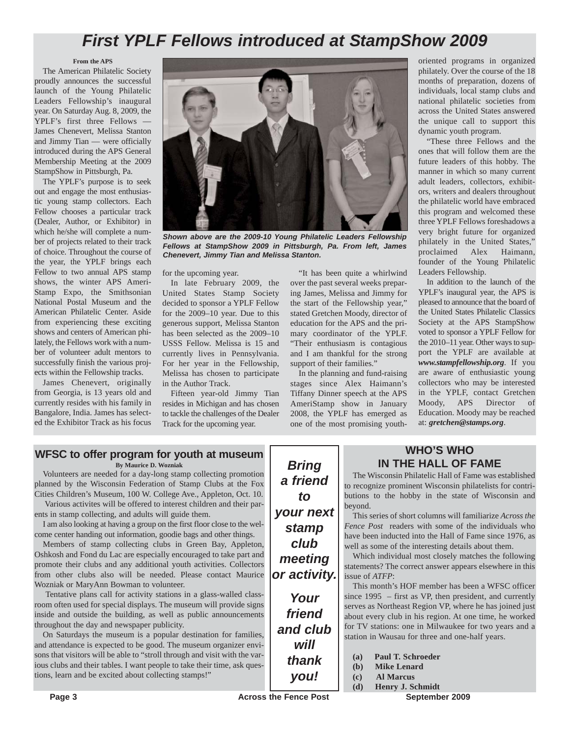# *First YPLF Fellows introduced at StampShow 2009*

#### **From the APS**

The American Philatelic Society proudly announces the successful launch of the Young Philatelic Leaders Fellowship's inaugural year. On Saturday Aug. 8, 2009, the YPLF's first three Fellows — James Chenevert, Melissa Stanton and Jimmy Tian — were officially introduced during the APS General Membership Meeting at the 2009 StampShow in Pittsburgh, Pa.

The YPLF's purpose is to seek out and engage the most enthusiastic young stamp collectors. Each Fellow chooses a particular track (Dealer, Author, or Exhibitor) in which he/she will complete a number of projects related to their track of choice. Throughout the course of the year, the YPLF brings each Fellow to two annual APS stamp shows, the winter APS Ameri-Stamp Expo, the Smithsonian National Postal Museum and the American Philatelic Center. Aside from experiencing these exciting shows and centers of American philately, the Fellows work with a number of volunteer adult mentors to successfully finish the various projects within the Fellowship tracks.

James Chenevert, originally from Georgia, is 13 years old and currently resides with his family in Bangalore, India. James has selected the Exhibitor Track as his focus



*Shown above are the 2009-10 Young Philatelic Leaders Fellowship Fellows at StampShow 2009 in Pittsburgh, Pa. From left, James Chenevert, Jimmy Tian and Melissa Stanton.*

for the upcoming year.

In late February 2009, the United States Stamp Society decided to sponsor a YPLF Fellow for the 2009–10 year. Due to this generous support, Melissa Stanton has been selected as the 2009–10 USSS Fellow. Melissa is 15 and currently lives in Pennsylvania. For her year in the Fellowship, Melissa has chosen to participate in the Author Track.

Fifteen year-old Jimmy Tian resides in Michigan and has chosen to tackle the challenges of the Dealer Track for the upcoming year.

"It has been quite a whirlwind over the past several weeks preparing James, Melissa and Jimmy for the start of the Fellowship year," stated Gretchen Moody, director of education for the APS and the primary coordinator of the YPLF. "Their enthusiasm is contagious and I am thankful for the strong support of their families."

In the planning and fund-raising stages since Alex Haimann's Tiffany Dinner speech at the APS AmeriStamp show in January 2008, the YPLF has emerged as one of the most promising youth-

oriented programs in organized philately. Over the course of the 18 months of preparation, dozens of individuals, local stamp clubs and national philatelic societies from across the United States answered the unique call to support this dynamic youth program.

"These three Fellows and the ones that will follow them are the future leaders of this hobby. The manner in which so many current adult leaders, collectors, exhibitors, writers and dealers throughout the philatelic world have embraced this program and welcomed these three YPLF Fellows foreshadows a very bright future for organized philately in the United States," proclaimed Alex Haimann, founder of the Young Philatelic Leaders Fellowship.

In addition to the launch of the YPLF's inaugural year, the APS is pleased to announce that the board of the United States Philatelic Classics Society at the APS StampShow voted to sponsor a YPLF Fellow for the 2010–11 year. Other ways to support the YPLF are available at *www.stampfellowship.org*. If you are aware of enthusiastic young collectors who may be interested in the YPLF, contact Gretchen Moody, APS Director of Education. Moody may be reached at: *gretchen@stamps.org*.

#### **WFSC to offer program for youth at museum**

**By Maurice D. Wozniak**

Volunteers are needed for a day-long stamp collecting promotion planned by the Wisconsin Federation of Stamp Clubs at the Fox Cities Children's Museum, 100 W. College Ave., Appleton, Oct. 10.

Various activites will be offered to interest children and their parents in stamp collecting, and adults will guide them.

I am also looking at having a group on the first floor close to the welcome center handing out information, goodie bags and other things.

Members of stamp collecting clubs in Green Bay, Appleton, Oshkosh and Fond du Lac are especially encouraged to take part and promote their clubs and any additional youth activities. Collectors from other clubs also will be needed. Please contact Maurice Wozniak or MaryAnn Bowman to volunteer.

Tentative plans call for activity stations in a glass-walled classroom often used for special displays. The museum will provide signs inside and outside the building, as well as public announcements throughout the day and newspaper publicity.

On Saturdays the museum is a popular destination for families, and attendance is expected to be good. The museum organizer envisons that visitors will be able to "stroll through and visit with the various clubs and their tables. I want people to take their time, ask questions, learn and be excited about collecting stamps!"

*Bring a friend to your next stamp club meeting or activity.*

*Your friend and club will thank you!*

#### **WHO'S WHO IN THE HALL OF FAME**

The Wisconsin Philatelic Hall of Fame was established to recognize prominent Wisconsin philatelists for contributions to the hobby in the state of Wisconsin and beyond.

This series of short columns will familiarize *Across the Fence Post* readers with some of the individuals who have been inducted into the Hall of Fame since 1976, as well as some of the interesting details about them.

Which individual most closely matches the following statements? The correct answer appears elsewhere in this issue of *ATFP*:

This month's HOF member has been a WFSC officer since 1995 – first as VP, then president, and currently serves as Northeast Region VP, where he has joined just about every club in his region. At one time, he worked for TV stations: one in Milwaukee for two years and a station in Wausau for three and one-half years.

| <b>Paul T. Schroeder</b> | (a) |  |  |  |
|--------------------------|-----|--|--|--|
|--------------------------|-----|--|--|--|

- **(b) Mike Lenard**
- **(c) Al Marcus**
- **(d) Henry J. Schmidt**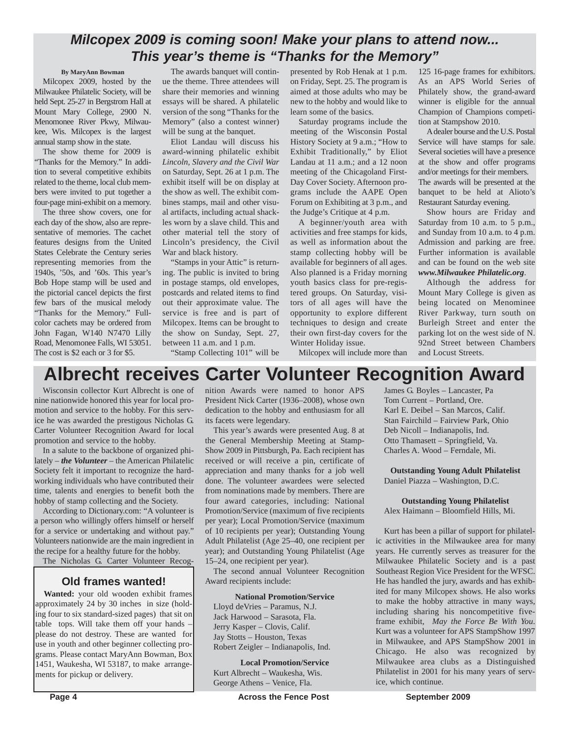### *Milcopex 2009 is coming soon! Make your plans to attend now... This year's theme is "Thanks for the Memory"*

#### **By MaryAnn Bowman**

Milcopex 2009, hosted by the Milwaukee Philatelic Society, will be held Sept. 25-27 in Bergstrom Hall at Mount Mary College, 2900 N. Menomonee River Pkwy, Milwaukee, Wis. Milcopex is the largest annual stamp show in the state.

The show theme for 2009 is "Thanks for the Memory." In addition to several competitive exhibits related to the theme, local club members were invited to put together a four-page mini-exhibit on a memory.

The three show covers, one for each day of the show, also are representative of memories. The cachet features designs from the United States Celebrate the Century series representing memories from the 1940s, '50s, and '60s. This year's Bob Hope stamp will be used and the pictorial cancel depicts the first few bars of the musical melody "Thanks for the Memory." Fullcolor cachets may be ordered from John Fagan, W140 N7470 Lilly Road, Menomonee Falls, WI 53051. The cost is \$2 each or 3 for \$5.

The awards banquet will continue the theme. Three attendees will share their memories and winning essays will be shared. A philatelic version of the song "Thanks for the Memory" (also a contest winner) will be sung at the banquet.

Eliot Landau will discuss his award-winning philatelic exhibit *Lincoln, Slavery and the Civil War* on Saturday, Sept. 26 at 1 p.m. The exhibit itself will be on display at the show as well. The exhibit combines stamps, mail and other visual artifacts, including actual shackles worn by a slave child. This and other material tell the story of Lincoln's presidency, the Civil War and black history.

"Stamps in your Attic" is returning. The public is invited to bring in postage stamps, old envelopes, postcards and related items to find out their approximate value. The service is free and is part of Milcopex. Items can be brought to the show on Sunday, Sept. 27, between 11 a.m. and 1 p.m.

presented by Rob Henak at 1 p.m. on Friday, Sept. 25. The program is aimed at those adults who may be new to the hobby and would like to learn some of the basics.

Saturday programs include the meeting of the Wisconsin Postal History Society at 9 a.m.; "How to Exhibit Traditionally," by Eliot Landau at 11 a.m.; and a 12 noon meeting of the Chicagoland First-Day Cover Society. Afternoon programs include the AAPE Open Forum on Exhibiting at 3 p.m., and the Judge's Critique at 4 p.m.

A beginner/youth area with activities and free stamps for kids, as well as information about the stamp collecting hobby will be available for beginners of all ages. Also planned is a Friday morning youth basics class for pre-registered groups. On Saturday, visitors of all ages will have the opportunity to explore different techniques to design and create their own first-day covers for the Winter Holiday issue.

125 16-page frames for exhibitors. As an APS World Series of Philately show, the grand-award winner is eligible for the annual Champion of Champions competition at Stampshow 2010.

Adealer bourse and the U.S. Postal Service will have stamps for sale. Several societies will have a presence at the show and offer programs and/or meetings for their members. The awards will be presented at the banquet to be held at Alioto's Restaurant Saturday evening.

Show hours are Friday and Saturday from 10 a.m. to 5 p.m., and Sunday from 10 a.m. to 4 p.m. Admission and parking are free. Further information is available and can be found on the web site *www.Milwaukee Philatelic.org*.

Although the address for Mount Mary College is given as being located on Menominee River Parkway, turn south on Burleigh Street and enter the parking lot on the west side of N. 92nd Street between Chambers and Locust Streets.

"Stamp Collecting 101" will be

Milcopex will include more than

# **Albrecht receives Carter Volunteer Recognition Award**

Wisconsin collector Kurt Albrecht is one of nine nationwide honored this year for local promotion and service to the hobby. For this service he was awarded the prestigous Nicholas G. Carter Volunteer Recognition Award for local promotion and service to the hobby.

In a salute to the backbone of organized philately – *the Volunteer* – the American Philatelic Society felt it important to recognize the hardworking individuals who have contributed their time, talents and energies to benefit both the hobby of stamp collecting and the Society.

According to Dictionary.com: "A volunteer is a person who willingly offers himself or herself for a service or undertaking and without pay." Volunteers nationwide are the main ingredient in the recipe for a healthy future for the hobby.

The Nicholas G. Carter Volunteer Recog-

#### **Old frames wanted!**

**Wanted:** your old wooden exhibit frames approximately 24 by 30 inches in size (holding four to six standard-sized pages) that sit on table tops. Will take them off your hands – please do not destroy. These are wanted for use in youth and other beginner collecting programs. Please contact MaryAnn Bowman, Box 1451, Waukesha, WI 53187, to make arrangements for pickup or delivery.

nition Awards were named to honor APS President Nick Carter (1936–2008), whose own dedication to the hobby and enthusiasm for all its facets were legendary.

This year's awards were presented Aug. 8 at the General Membership Meeting at Stamp-Show 2009 in Pittsburgh, Pa. Each recipient has received or will receive a pin, certificate of appreciation and many thanks for a job well done. The volunteer awardees were selected from nominations made by members. There are four award categories, including: National Promotion/Service (maximum of five recipients per year); Local Promotion/Service (maximum of 10 recipients per year); Outstanding Young Adult Philatelist (Age 25–40, one recipient per year); and Outstanding Young Philatelist (Age 15–24, one recipient per year).

The second annual Volunteer Recognition Award recipients include:

#### **National Promotion/Service**

Lloyd deVries – Paramus, N.J. Jack Harwood – Sarasota, Fla. Jerry Kasper – Clovis, Calif. Jay Stotts – Houston, Texas Robert Zeigler – Indianapolis, Ind.

**Local Promotion/Service** Kurt Albrecht – Waukesha, Wis. George Athens – Venice, Fla.

**Page 4 Across the Fence Post** September 2009

James G. Boyles – Lancaster, Pa Tom Current – Portland, Ore. Karl E. Deibel – San Marcos, Calif. Stan Fairchild – Fairview Park, Ohio Deb Nicoll – Indianapolis, Ind. Otto Thamasett – Springfield, Va. Charles A. Wood – Ferndale, Mi.

**Outstanding Young Adult Philatelist** Daniel Piazza – Washington, D.C.

**Outstanding Young Philatelist** Alex Haimann – Bloomfield Hills, Mi.

Kurt has been a pillar of support for philatelic activities in the Milwaukee area for many years. He currently serves as treasurer for the Milwaukee Philatelic Society and is a past Southeast Region Vice President for the WFSC. He has handled the jury, awards and has exhibited for many Milcopex shows. He also works to make the hobby attractive in many ways, including sharing his noncompetitive fiveframe exhibit, *May the Force Be With You*. Kurt was a volunteer for APS StampShow 1997 in Milwaukee, and APS StampShow 2001 in Chicago. He also was recognized by Milwaukee area clubs as a Distinguished Philatelist in 2001 for his many years of service, which continue.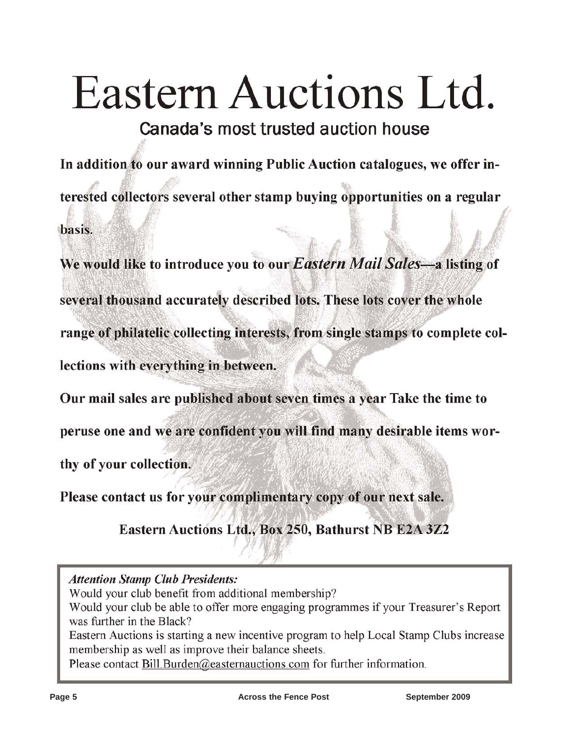# Eastern Auctions Ltd.

Canada's most trusted auction house

In addition to our award winning Public Auction catalogues, we offer interested collectors several other stamp buying opportunities on a regular basis.

We would like to introduce you to our Eastern Mail Sales-a listing of several thousand accurately described lots. These lots cover the whole range of philatelic collecting interests, from single stamps to complete collections with everything in between.

Our mail sales are published about seven times a year Take the time to

peruse one and we are confident you will find many desirable items wor-

thy of your collection.

Please contact us for your complimentary copy of our next sale.

Eastern Auctions Ltd., Box 250, Bathurst NB E2A 3Z2

**Attention Stamp Club Presidents:** 

Would your club benefit from additional membership?

Would your club be able to offer more engaging programmes if your Treasurer's Report was further in the Black?

Eastern Auctions is starting a new incentive program to help Local Stamp Clubs increase membership as well as improve their balance sheets.

Please contact Bill Burden@easternauctions.com for further information.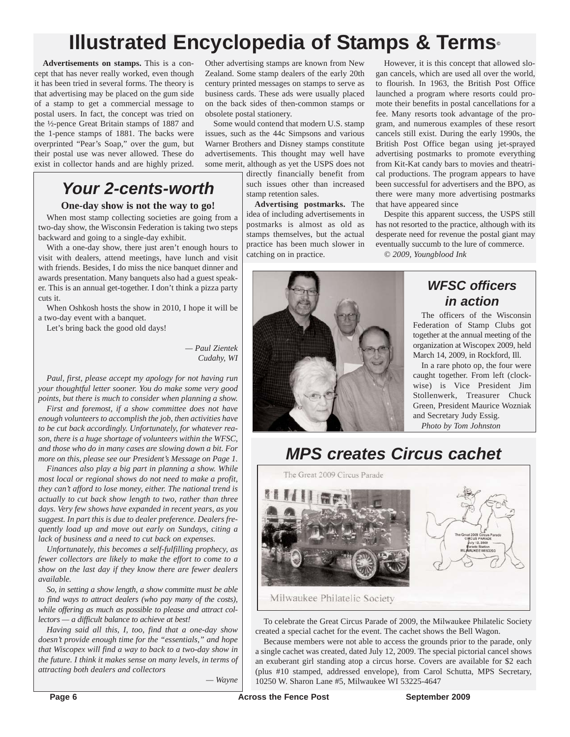# **Illustrated Encyclopedia of Stamps & Terms©**

**Advertisements on stamps.** This is a concept that has never really worked, even though it has been tried in several forms. The theory is that advertising may be placed on the gum side of a stamp to get a commercial message to postal users. In fact, the concept was tried on the ½-pence Great Britain stamps of 1887 and the 1-pence stamps of 1881. The backs were overprinted "Pear's Soap," over the gum, but their postal use was never allowed. These do exist in collector hands and are highly prized.

# *Your 2-cents-worth*

#### **One-day show is not the way to go!**

When most stamp collecting societies are going from a two-day show, the Wisconsin Federation is taking two steps backward and going to a single-day exhibit.

With a one-day show, there just aren't enough hours to visit with dealers, attend meetings, have lunch and visit with friends. Besides, I do miss the nice banquet dinner and awards presentation. Many banquets also had a guest speaker. This is an annual get-together. I don't think a pizza party cuts it.

When Oshkosh hosts the show in 2010, I hope it will be a two-day event with a banquet.

Let's bring back the good old days!

*— Paul Zientek Cudahy, WI*

*Paul, first, please accept my apology for not having run your thoughtful letter sooner. You do make some very good points, but there is much to consider when planning a show.*

*First and foremost, if a show committee does not have enough volunteers to accomplish the job, then activities have to be cut back accordingly. Unfortunately, for whatever reason, there is a huge shortage of volunteers within the WFSC, and those who do in many cases are slowing down a bit. For more on this, please see our President's Message on Page 1.*

*Finances also play a big part in planning a show. While most local or regional shows do not need to make a profit, they can't afford to lose money, either. The national trend is actually to cut back show length to two, rather than three days. Very few shows have expanded in recent years, as you suggest. In part this is due to dealer preference. Dealers frequently load up and move out early on Sundays, citing a lack of business and a need to cut back on expenses.*

*Unfortunately, this becomes a self-fulfilling prophecy, as fewer collectors are likely to make the effort to come to a show on the last day if they know there are fewer dealers available.*

*So, in setting a show length, a show committe must be able to find ways to attract dealers (who pay many of the costs), while offering as much as possible to please and attract collectors — a difficult balance to achieve at best!*

*Having said all this, I, too, find that a one-day show doesn't provide enough time for the "essentials," and hope that Wiscopex will find a way to back to a two-day show in the future. I think it makes sense on many levels, in terms of attracting both dealers and collectors*

*— Wayne*

Other advertising stamps are known from New Zealand. Some stamp dealers of the early 20th century printed messages on stamps to serve as business cards. These ads were usually placed on the back sides of then-common stamps or obsolete postal stationery.

Some would contend that modern U.S. stamp issues, such as the 44c Simpsons and various Warner Brothers and Disney stamps constitute advertisements. This thought may well have some merit, although as yet the USPS does not

directly financially benefit from such issues other than increased stamp retention sales.

**Advertising postmarks.** The idea of including advertisements in postmarks is almost as old as stamps themselves, but the actual practice has been much slower in catching on in practice.

However, it is this concept that allowed slogan cancels, which are used all over the world, to flourish. In 1963, the British Post Office launched a program where resorts could promote their benefits in postal cancellations for a fee. Many resorts took advantage of the program, and numerous examples of these resort cancels still exist. During the early 1990s, the British Post Office began using jet-sprayed advertising postmarks to promote everything from Kit-Kat candy bars to movies and theatrical productions. The program appears to have been successful for advertisers and the BPO, as there were many more advertising postmarks that have appeared since

Despite this apparent success, the USPS still has not resorted to the practice, although with its desperate need for revenue the postal giant may eventually succumb to the lure of commerce. *© 2009, Youngblood Ink*

# *WFSC officers in action*

The officers of the Wisconsin Federation of Stamp Clubs got together at the annual meeting of the organization at Wiscopex 2009, held March 14, 2009, in Rockford, Ill.

In a rare photo op, the four were caught together. From left (clockwise) is Vice President Jim Stollenwerk, Treasurer Chuck Green, President Maurice Wozniak and Secretary Judy Essig. *Photo by Tom Johnston*

# *MPS creates Circus cachet*



To celebrate the Great Circus Parade of 2009, the Milwaukee Philatelic Society created a special cachet for the event. The cachet shows the Bell Wagon.

Because members were not able to access the grounds prior to the parade, only a single cachet was created, dated July 12, 2009. The special pictorial cancel shows an exuberant girl standing atop a circus horse. Covers are available for \$2 each (plus #10 stamped, addressed envelope), from Carol Schutta, MPS Secretary, 10250 W. Sharon Lane #5, Milwaukee WI 53225-4647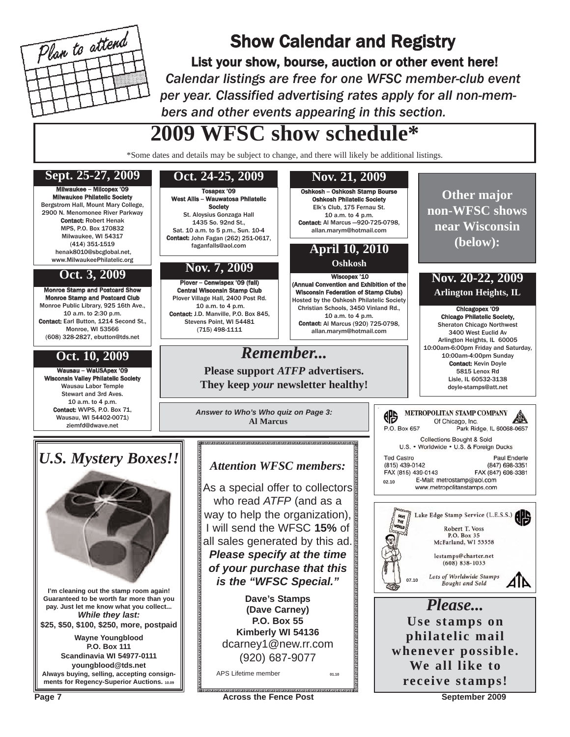

# Show Calendar and Registry

List your show, bourse, auction or other event here! *Calendar listings are free for one WFSC member-club event per year. Classified advertising rates apply for all non-members and other events appearing in this section.*

# **2009 WFSC show schedule\***

\*Some dates and details may be subject to change, and there will likely be additional listings.